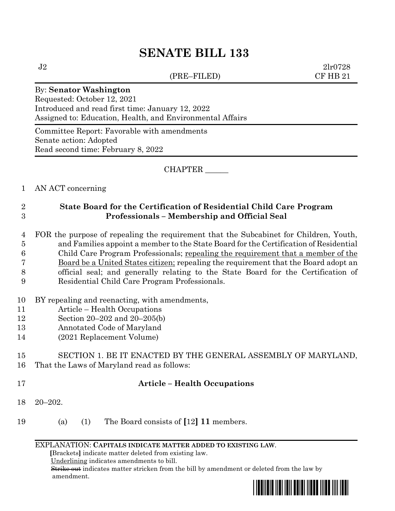# **SENATE BILL 133**

(PRE–FILED) CF HB 21

 $J2 \t2l r0728$ 

#### By: **Senator Washington**

Requested: October 12, 2021 Introduced and read first time: January 12, 2022 Assigned to: Education, Health, and Environmental Affairs

Committee Report: Favorable with amendments Senate action: Adopted Read second time: February 8, 2022

CHAPTER \_\_\_\_\_\_

### 1 AN ACT concerning

## 2 **State Board for the Certification of Residential Child Care Program**  3 **Professionals – Membership and Official Seal**

 FOR the purpose of repealing the requirement that the Subcabinet for Children, Youth, and Families appoint a member to the State Board for the Certification of Residential Child Care Program Professionals; repealing the requirement that a member of the Board be a United States citizen; repealing the requirement that the Board adopt an official seal; and generally relating to the State Board for the Certification of Residential Child Care Program Professionals.

- 10 BY repealing and reenacting, with amendments,
- 11 Article Health Occupations
- 12 Section 20–202 and 20–205(b)
- 13 Annotated Code of Maryland
- 14 (2021 Replacement Volume)

### 15 SECTION 1. BE IT ENACTED BY THE GENERAL ASSEMBLY OF MARYLAND, 16 That the Laws of Maryland read as follows:

### 17 **Article – Health Occupations**

- 18 20–202.
- 19 (a) (1) The Board consists of **[**12**] 11** members.

#### EXPLANATION: **CAPITALS INDICATE MATTER ADDED TO EXISTING LAW**.

 **[**Brackets**]** indicate matter deleted from existing law.

Underlining indicates amendments to bill.

 Strike out indicates matter stricken from the bill by amendment or deleted from the law by amendment.

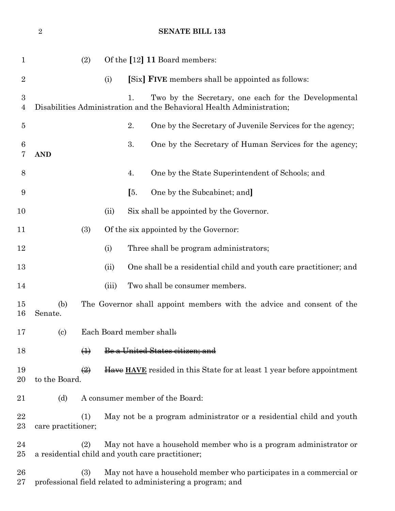(2) Of the **[**12**] 11** Board members: (i) **[**Six**] FIVE** members shall be appointed as follows: 1. Two by the Secretary, one each for the Developmental Disabilities Administration and the Behavioral Health Administration; 2. One by the Secretary of Juvenile Services for the agency; 3. One by the Secretary of Human Services for the agency; **AND** 4. One by the State Superintendent of Schools; and **[**5. One by the Subcabinet; and**]** 10 (ii) Six shall be appointed by the Governor. (3) Of the six appointed by the Governor: 12 (i) Three shall be program administrators; (ii) One shall be a residential child and youth care practitioner; and 14 (iii) Two shall be consumer members. (b) The Governor shall appoint members with the advice and consent of the Senate. (c) Each Board member shall: 18 (<del>1)</del> Be a United States citizen; and **(2)** Have HAVE resided in this State for at least 1 year before appointment to the Board. 21 (d) A consumer member of the Board: (1) May not be a program administrator or a residential child and youth care practitioner; (2) May not have a household member who is a program administrator or a residential child and youth care practitioner; (3) May not have a household member who participates in a commercial or professional field related to administering a program; and

**SENATE BILL 133**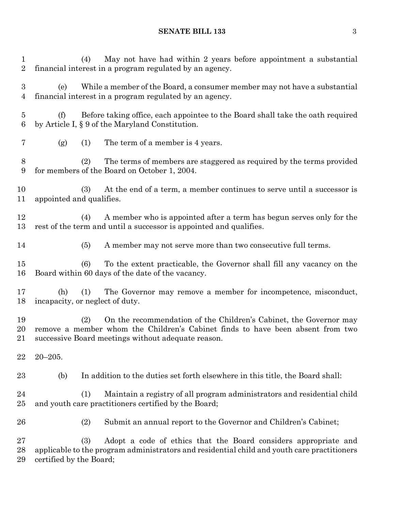## **SENATE BILL 133** 3

| 1<br>$\sqrt{2}$         | May not have had within 2 years before appointment a substantial<br>(4)<br>financial interest in a program regulated by an agency.                                                                               |
|-------------------------|------------------------------------------------------------------------------------------------------------------------------------------------------------------------------------------------------------------|
| 3<br>4                  | While a member of the Board, a consumer member may not have a substantial<br>(e)<br>financial interest in a program regulated by an agency.                                                                      |
| $\overline{5}$<br>$\,6$ | Before taking office, each appointee to the Board shall take the oath required<br>(f)<br>by Article I, § 9 of the Maryland Constitution.                                                                         |
| $\overline{7}$          | The term of a member is 4 years.<br>(1)<br>(g)                                                                                                                                                                   |
| 8<br>$\boldsymbol{9}$   | The terms of members are staggered as required by the terms provided<br>(2)<br>for members of the Board on October 1, 2004.                                                                                      |
| 10<br>11                | At the end of a term, a member continues to serve until a successor is<br>(3)<br>appointed and qualifies.                                                                                                        |
| 12<br>13                | A member who is appointed after a term has begun serves only for the<br>(4)<br>rest of the term and until a successor is appointed and qualifies.                                                                |
| 14                      | (5)<br>A member may not serve more than two consecutive full terms.                                                                                                                                              |
| 15<br>16                | To the extent practicable, the Governor shall fill any vacancy on the<br>(6)<br>Board within 60 days of the date of the vacancy.                                                                                 |
| 17<br>18                | The Governor may remove a member for incompetence, misconduct,<br>(h)<br>(1)<br>incapacity, or neglect of duty.                                                                                                  |
| 19<br>20<br>21          | On the recommendation of the Children's Cabinet, the Governor may<br>(2)<br>remove a member whom the Children's Cabinet finds to have been absent from two<br>successive Board meetings without adequate reason. |
| 22                      | $20 - 205.$                                                                                                                                                                                                      |
| 23                      | (b)<br>In addition to the duties set forth elsewhere in this title, the Board shall:                                                                                                                             |
| 24<br>25                | Maintain a registry of all program administrators and residential child<br>(1)<br>and youth care practitioners certified by the Board;                                                                           |
| 26                      | (2)<br>Submit an annual report to the Governor and Children's Cabinet;                                                                                                                                           |
| 27<br>28<br>29          | (3)<br>Adopt a code of ethics that the Board considers appropriate and<br>applicable to the program administrators and residential child and youth care practitioners<br>certified by the Board;                 |